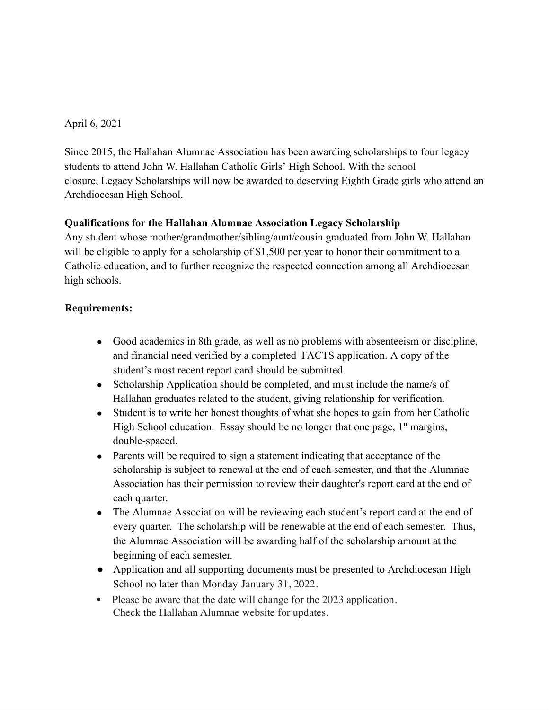## April 6, 2021

Since 2015, the Hallahan Alumnae Association has been awarding scholarships to four legacy students to attend John W. Hallahan Catholic Girls' High School. With the school closure, Legacy Scholarships will now be awarded to deserving Eighth Grade girls who attend an Archdiocesan High School.

## **Qualifications for the Hallahan Alumnae Association Legacy Scholarship**

Any student whose mother/grandmother/sibling/aunt/cousin graduated from John W. Hallahan will be eligible to apply for a scholarship of \$1,500 per year to honor their commitment to a Catholic education, and to further recognize the respected connection among all Archdiocesan high schools.

## **Requirements:**

- Good academics in 8th grade, as well as no problems with absenteeism or discipline, and financial need verified by a completed FACTS application. A copy of the student's most recent report card should be submitted.
- Scholarship Application should be completed, and must include the name/s of Hallahan graduates related to the student, giving relationship for verification.
- Student is to write her honest thoughts of what she hopes to gain from her Catholic High School education. Essay should be no longer that one page, 1" margins, double-spaced.
- Parents will be required to sign a statement indicating that acceptance of the scholarship is subject to renewal at the end of each semester, and that the Alumnae Association has their permission to review their daughter's report card at the end of each quarter.
- The Alumnae Association will be reviewing each student's report card at the end of every quarter. The scholarship will be renewable at the end of each semester. Thus, the Alumnae Association will be awarding half of the scholarship amount at the beginning of each semester.
- Application and all supporting documents must be presented to Archdiocesan High School no later than Monday January 31, 2022.
- Please be aware that the date will change for the 2023 application. Check the Hallahan Alumnae website for updates.